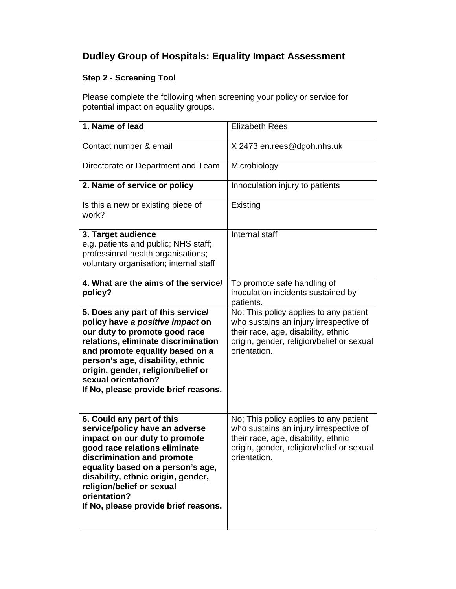# **Dudley Group of Hospitals: Equality Impact Assessment**

## **Step 2 - Screening Tool**

Please complete the following when screening your policy or service for potential impact on equality groups.

| <b>Elizabeth Rees</b>                                                                                                                                                                |
|--------------------------------------------------------------------------------------------------------------------------------------------------------------------------------------|
| X 2473 en.rees@dgoh.nhs.uk                                                                                                                                                           |
| Microbiology                                                                                                                                                                         |
| Innoculation injury to patients                                                                                                                                                      |
| Existing                                                                                                                                                                             |
| Internal staff                                                                                                                                                                       |
| To promote safe handling of<br>inoculation incidents sustained by<br>patients.                                                                                                       |
| No: This policy applies to any patient<br>who sustains an injury irrespective of<br>their race, age, disability, ethnic<br>origin, gender, religion/belief or sexual<br>orientation. |
| No; This policy applies to any patient<br>who sustains an injury irrespective of<br>their race, age, disability, ethnic<br>origin, gender, religion/belief or sexual<br>orientation. |
|                                                                                                                                                                                      |